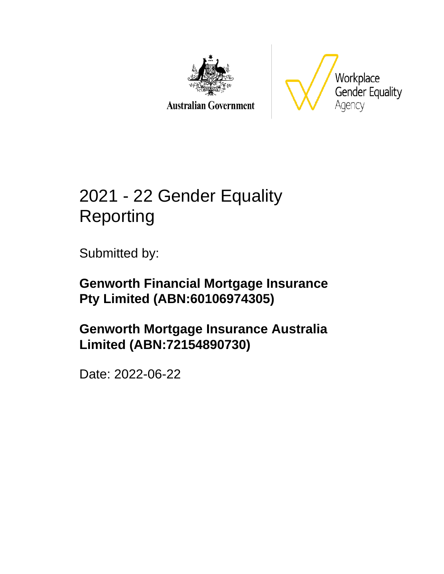

**Australian Government** 



# 2021 - 22 Gender Equality Reporting

Submitted by:

**Genworth Financial Mortgage Insurance Pty Limited (ABN:60106974305)**

**Genworth Mortgage Insurance Australia Limited (ABN:72154890730)**

Date: 2022-06-22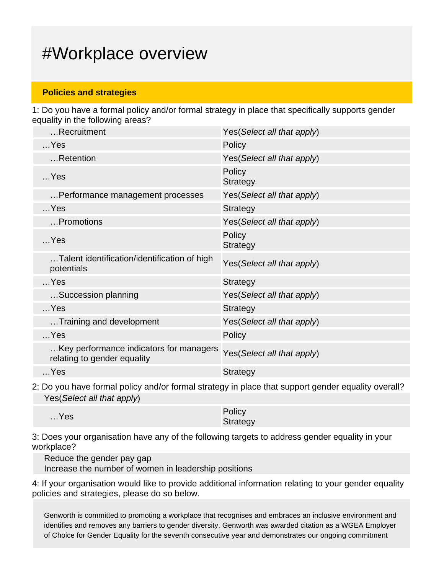## #Workplace overview

### **Policies and strategies**

1: Do you have a formal policy and/or formal strategy in place that specifically supports gender equality in the following areas?

| Recruitment                                                            | Yes(Select all that apply)  |
|------------------------------------------------------------------------|-----------------------------|
| $$ Yes                                                                 | Policy                      |
| Retention                                                              | Yes(Select all that apply)  |
| $$ Yes                                                                 | Policy<br><b>Strategy</b>   |
| Performance management processes                                       | Yes(Select all that apply)  |
| $$ Yes                                                                 | <b>Strategy</b>             |
| Promotions                                                             | Yes (Select all that apply) |
| $$ Yes                                                                 | Policy<br><b>Strategy</b>   |
| Talent identification/identification of high<br>potentials             | Yes(Select all that apply)  |
| $$ Yes                                                                 | <b>Strategy</b>             |
| Succession planning                                                    | Yes(Select all that apply)  |
| $$ Yes                                                                 | <b>Strategy</b>             |
| Training and development                                               | Yes(Select all that apply)  |
| $$ Yes                                                                 | Policy                      |
| Key performance indicators for managers<br>relating to gender equality | Yes(Select all that apply)  |
| $$ Yes                                                                 | <b>Strategy</b>             |
|                                                                        |                             |

2: Do you have formal policy and/or formal strategy in place that support gender equality overall? Yes(Select all that apply)

| $$ Yes | Policy   |
|--------|----------|
|        | Strategy |

3: Does your organisation have any of the following targets to address gender equality in your workplace?

Reduce the gender pay gap Increase the number of women in leadership positions

4: If your organisation would like to provide additional information relating to your gender equality policies and strategies, please do so below.

Genworth is committed to promoting a workplace that recognises and embraces an inclusive environment and identifies and removes any barriers to gender diversity. Genworth was awarded citation as a WGEA Employer of Choice for Gender Equality for the seventh consecutive year and demonstrates our ongoing commitment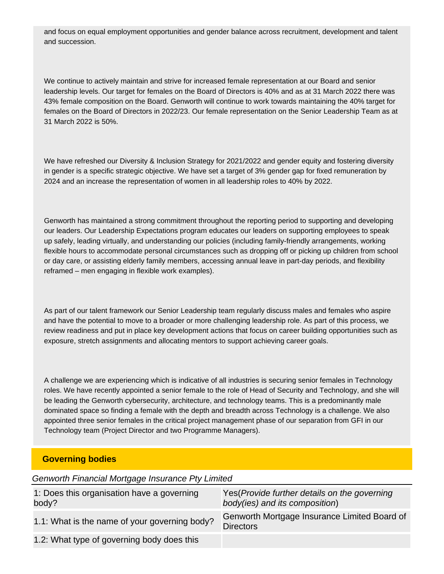and focus on equal employment opportunities and gender balance across recruitment, development and talent and succession.

We continue to actively maintain and strive for increased female representation at our Board and senior leadership levels. Our target for females on the Board of Directors is 40% and as at 31 March 2022 there was 43% female composition on the Board. Genworth will continue to work towards maintaining the 40% target for females on the Board of Directors in 2022/23. Our female representation on the Senior Leadership Team as at 31 March 2022 is 50%.

We have refreshed our Diversity & Inclusion Strategy for 2021/2022 and gender equity and fostering diversity in gender is a specific strategic objective. We have set a target of 3% gender gap for fixed remuneration by 2024 and an increase the representation of women in all leadership roles to 40% by 2022.

Genworth has maintained a strong commitment throughout the reporting period to supporting and developing our leaders. Our Leadership Expectations program educates our leaders on supporting employees to speak up safely, leading virtually, and understanding our policies (including family-friendly arrangements, working flexible hours to accommodate personal circumstances such as dropping off or picking up children from school or day care, or assisting elderly family members, accessing annual leave in part-day periods, and flexibility reframed – men engaging in flexible work examples).

As part of our talent framework our Senior Leadership team regularly discuss males and females who aspire and have the potential to move to a broader or more challenging leadership role. As part of this process, we review readiness and put in place key development actions that focus on career building opportunities such as exposure, stretch assignments and allocating mentors to support achieving career goals.

A challenge we are experiencing which is indicative of all industries is securing senior females in Technology roles. We have recently appointed a senior female to the role of Head of Security and Technology, and she will be leading the Genworth cybersecurity, architecture, and technology teams. This is a predominantly male dominated space so finding a female with the depth and breadth across Technology is a challenge. We also appointed three senior females in the critical project management phase of our separation from GFI in our Technology team (Project Director and two Programme Managers).

#### **Governing bodies**

Genworth Financial Mortgage Insurance Pty Limited

| 1: Does this organisation have a governing<br>body? | Yes (Provide further details on the governing<br>body(ies) and its composition) |
|-----------------------------------------------------|---------------------------------------------------------------------------------|
| 1.1: What is the name of your governing body?       | Genworth Mortgage Insurance Limited Board of<br><b>Directors</b>                |
| 1.2: What type of governing body does this          |                                                                                 |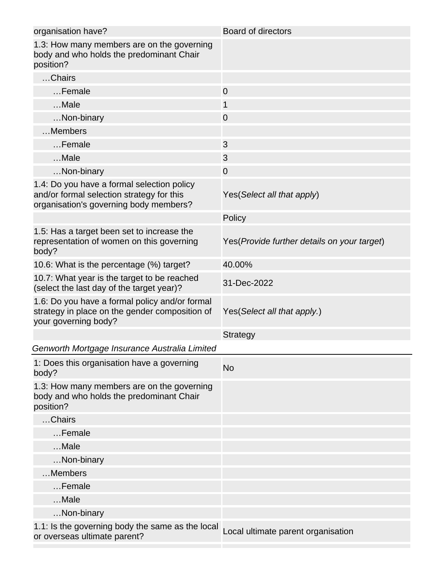| organisation have?                                                                                                                | <b>Board of directors</b>                    |
|-----------------------------------------------------------------------------------------------------------------------------------|----------------------------------------------|
| 1.3: How many members are on the governing<br>body and who holds the predominant Chair<br>position?                               |                                              |
| Chairs                                                                                                                            |                                              |
| Female                                                                                                                            | $\mathbf 0$                                  |
| Male                                                                                                                              | 1                                            |
| Non-binary                                                                                                                        | 0                                            |
| Members                                                                                                                           |                                              |
| Female                                                                                                                            | 3                                            |
| Male                                                                                                                              | 3                                            |
| Non-binary                                                                                                                        | $\overline{0}$                               |
| 1.4: Do you have a formal selection policy<br>and/or formal selection strategy for this<br>organisation's governing body members? | Yes (Select all that apply)                  |
|                                                                                                                                   | Policy                                       |
| 1.5: Has a target been set to increase the<br>representation of women on this governing<br>body?                                  | Yes (Provide further details on your target) |
| 10.6: What is the percentage (%) target?                                                                                          | 40.00%                                       |
| 10.7: What year is the target to be reached<br>(select the last day of the target year)?                                          | 31-Dec-2022                                  |
| 1.6: Do you have a formal policy and/or formal<br>strategy in place on the gender composition of<br>your governing body?          | Yes (Select all that apply.)                 |
|                                                                                                                                   | <b>Strategy</b>                              |
| Genworth Mortgage Insurance Australia Limited                                                                                     |                                              |
| 1: Does this organisation have a governing<br>body?                                                                               | <b>No</b>                                    |
| 1.3: How many members are on the governing<br>body and who holds the predominant Chair<br>position?                               |                                              |
| Chairs                                                                                                                            |                                              |
| Female                                                                                                                            |                                              |
| $$ Male                                                                                                                           |                                              |
| Non-binary                                                                                                                        |                                              |
| Members                                                                                                                           |                                              |
| Female                                                                                                                            |                                              |
| Male                                                                                                                              |                                              |
| Non-binary                                                                                                                        |                                              |
| 1.1: Is the governing body the same as the local<br>or overseas ultimate parent?                                                  | Local ultimate parent organisation           |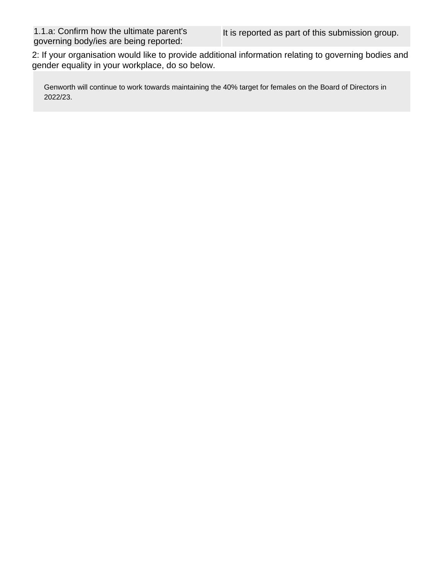2: If your organisation would like to provide additional information relating to governing bodies and gender equality in your workplace, do so below.

Genworth will continue to work towards maintaining the 40% target for females on the Board of Directors in 2022/23.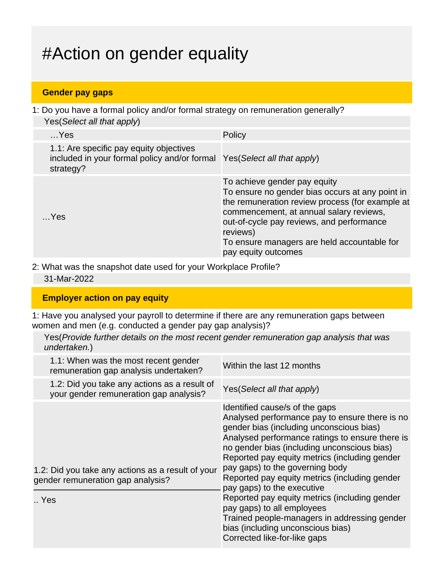# #Action on gender equality

### **Gender pay gaps**

1: Do you have a formal policy and/or formal strategy on remuneration generally? Yes(Select all that apply)

| $$ Yes                                                                                                                           | Policy                                                                                                                                                                                                                                                                                                       |
|----------------------------------------------------------------------------------------------------------------------------------|--------------------------------------------------------------------------------------------------------------------------------------------------------------------------------------------------------------------------------------------------------------------------------------------------------------|
| 1.1: Are specific pay equity objectives<br>included in your formal policy and/or formal Yes (Select all that apply)<br>strategy? |                                                                                                                                                                                                                                                                                                              |
| $$ Yes                                                                                                                           | To achieve gender pay equity<br>To ensure no gender bias occurs at any point in<br>the remuneration review process (for example at<br>commencement, at annual salary reviews,<br>out-of-cycle pay reviews, and performance<br>reviews)<br>To ensure managers are held accountable for<br>pay equity outcomes |

2: What was the snapshot date used for your Workplace Profile? 31-Mar-2022

### **Employer action on pay equity**

1: Have you analysed your payroll to determine if there are any remuneration gaps between women and men (e.g. conducted a gender pay gap analysis)?

Yes(Provide further details on the most recent gender remuneration gap analysis that was undertaken.)

| 1.1: When was the most recent gender<br>remuneration gap analysis undertaken?                 | Within the last 12 months                                                                                                                                                                                                                                                                                                                                                                                                                                                                                                                                                                             |
|-----------------------------------------------------------------------------------------------|-------------------------------------------------------------------------------------------------------------------------------------------------------------------------------------------------------------------------------------------------------------------------------------------------------------------------------------------------------------------------------------------------------------------------------------------------------------------------------------------------------------------------------------------------------------------------------------------------------|
| 1.2: Did you take any actions as a result of<br>your gender remuneration gap analysis?        | Yes (Select all that apply)                                                                                                                                                                                                                                                                                                                                                                                                                                                                                                                                                                           |
| 1.2: Did you take any actions as a result of your<br>gender remuneration gap analysis?<br>Yes | Identified cause/s of the gaps<br>Analysed performance pay to ensure there is no<br>gender bias (including unconscious bias)<br>Analysed performance ratings to ensure there is<br>no gender bias (including unconscious bias)<br>Reported pay equity metrics (including gender<br>pay gaps) to the governing body<br>Reported pay equity metrics (including gender<br>pay gaps) to the executive<br>Reported pay equity metrics (including gender<br>pay gaps) to all employees<br>Trained people-managers in addressing gender<br>bias (including unconscious bias)<br>Corrected like-for-like gaps |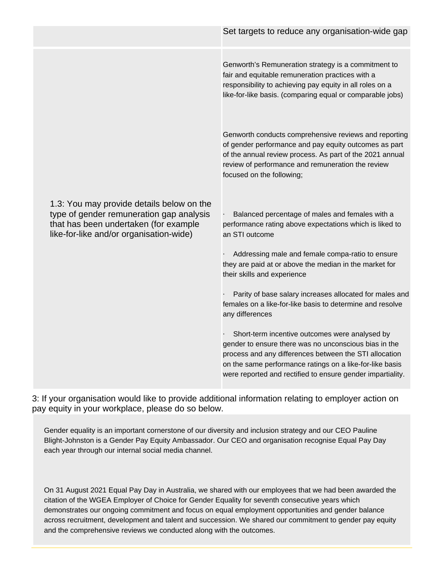|                                                                                                                                                                           | Set targets to reduce any organisation-wide gap                                                                                                                                                                                                                                             |
|---------------------------------------------------------------------------------------------------------------------------------------------------------------------------|---------------------------------------------------------------------------------------------------------------------------------------------------------------------------------------------------------------------------------------------------------------------------------------------|
|                                                                                                                                                                           | Genworth's Remuneration strategy is a commitment to<br>fair and equitable remuneration practices with a<br>responsibility to achieving pay equity in all roles on a<br>like-for-like basis. (comparing equal or comparable jobs)                                                            |
|                                                                                                                                                                           | Genworth conducts comprehensive reviews and reporting<br>of gender performance and pay equity outcomes as part<br>of the annual review process. As part of the 2021 annual<br>review of performance and remuneration the review<br>focused on the following;                                |
| 1.3: You may provide details below on the<br>type of gender remuneration gap analysis<br>that has been undertaken (for example<br>like-for-like and/or organisation-wide) | Balanced percentage of males and females with a<br>performance rating above expectations which is liked to<br>an STI outcome                                                                                                                                                                |
|                                                                                                                                                                           | Addressing male and female compa-ratio to ensure<br>they are paid at or above the median in the market for<br>their skills and experience                                                                                                                                                   |
|                                                                                                                                                                           | Parity of base salary increases allocated for males and<br>females on a like-for-like basis to determine and resolve<br>any differences                                                                                                                                                     |
|                                                                                                                                                                           | Short-term incentive outcomes were analysed by<br>gender to ensure there was no unconscious bias in the<br>process and any differences between the STI allocation<br>on the same performance ratings on a like-for-like basis<br>were reported and rectified to ensure gender impartiality. |

3: If your organisation would like to provide additional information relating to employer action on pay equity in your workplace, please do so below.

Gender equality is an important cornerstone of our diversity and inclusion strategy and our CEO Pauline Blight-Johnston is a Gender Pay Equity Ambassador. Our CEO and organisation recognise Equal Pay Day each year through our internal social media channel.

On 31 August 2021 Equal Pay Day in Australia, we shared with our employees that we had been awarded the citation of the WGEA Employer of Choice for Gender Equality for seventh consecutive years which demonstrates our ongoing commitment and focus on equal employment opportunities and gender balance across recruitment, development and talent and succession. We shared our commitment to gender pay equity and the comprehensive reviews we conducted along with the outcomes.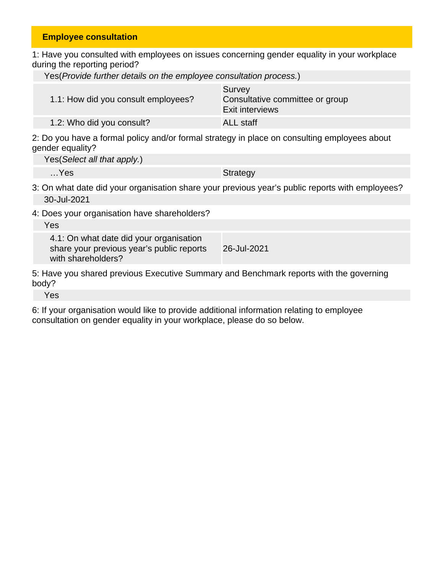### **Employee consultation**

1: Have you consulted with employees on issues concerning gender equality in your workplace during the reporting period?

| Yes(Provide further details on the employee consultation process.) |                                                              |  |
|--------------------------------------------------------------------|--------------------------------------------------------------|--|
| 1.1: How did you consult employees?                                | Survey<br>Consultative committee or group<br>Exit interviews |  |
| 1.2: Who did you consult?                                          | <b>ALL</b> staff                                             |  |

2: Do you have a formal policy and/or formal strategy in place on consulting employees about gender equality?

Yes(Select all that apply.)

…Yes Strategy and the Strategy of the Strategy of the Strategy of the Strategy of the Strategy of the Strategy

3: On what date did your organisation share your previous year's public reports with employees? 30-Jul-2021

4: Does your organisation have shareholders?

| Yes                                                                                                        |             |
|------------------------------------------------------------------------------------------------------------|-------------|
| 4.1: On what date did your organisation<br>share your previous year's public reports<br>with shareholders? | 26-Jul-2021 |
| 5: Have you shared previous Executive Summary and Benchmark reports with the governing<br>body?            |             |

Yes

6: If your organisation would like to provide additional information relating to employee consultation on gender equality in your workplace, please do so below.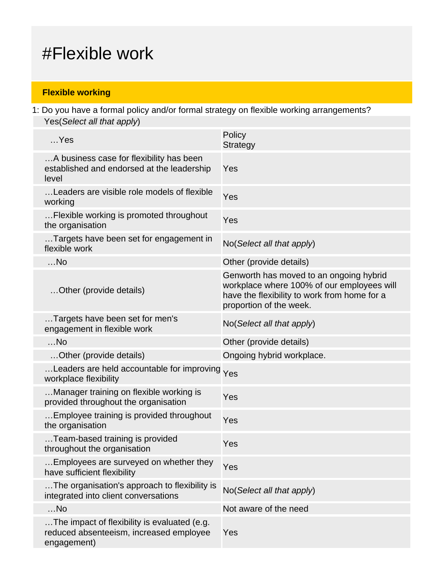## #Flexible work

### **Flexible working**

1: Do you have a formal policy and/or formal strategy on flexible working arrangements? Yes(Select all that apply)

| $$ Yes                                                                                                 | Policy<br><b>Strategy</b>                                                                                                                                        |
|--------------------------------------------------------------------------------------------------------|------------------------------------------------------------------------------------------------------------------------------------------------------------------|
| A business case for flexibility has been<br>established and endorsed at the leadership<br>level        | Yes                                                                                                                                                              |
| Leaders are visible role models of flexible<br>working                                                 | Yes                                                                                                                                                              |
| Flexible working is promoted throughout<br>the organisation                                            | Yes                                                                                                                                                              |
| Targets have been set for engagement in<br>flexible work                                               | No(Select all that apply)                                                                                                                                        |
| $$ No                                                                                                  | Other (provide details)                                                                                                                                          |
| Other (provide details)                                                                                | Genworth has moved to an ongoing hybrid<br>workplace where 100% of our employees will<br>have the flexibility to work from home for a<br>proportion of the week. |
| Targets have been set for men's<br>engagement in flexible work                                         | No(Select all that apply)                                                                                                                                        |
| $$ No                                                                                                  | Other (provide details)                                                                                                                                          |
| Other (provide details)                                                                                | Ongoing hybrid workplace.                                                                                                                                        |
| Leaders are held accountable for improving Yes<br>workplace flexibility                                |                                                                                                                                                                  |
| Manager training on flexible working is<br>provided throughout the organisation                        | Yes                                                                                                                                                              |
| Employee training is provided throughout<br>the organisation                                           | Yes                                                                                                                                                              |
| Team-based training is provided<br>throughout the organisation                                         | Yes                                                                                                                                                              |
| Employees are surveyed on whether they<br>have sufficient flexibility                                  | Yes                                                                                                                                                              |
| The organisation's approach to flexibility is<br>integrated into client conversations                  | No(Select all that apply)                                                                                                                                        |
| $$ No                                                                                                  | Not aware of the need                                                                                                                                            |
| The impact of flexibility is evaluated (e.g.<br>reduced absenteeism, increased employee<br>engagement) | Yes                                                                                                                                                              |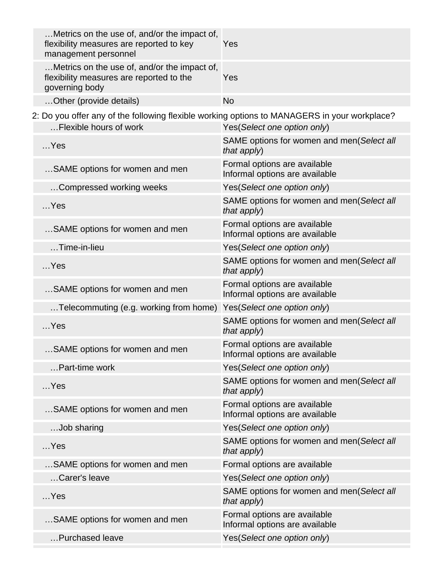| Metrics on the use of, and/or the impact of,<br>flexibility measures are reported to key<br>management personnel | Yes                                                            |
|------------------------------------------------------------------------------------------------------------------|----------------------------------------------------------------|
| Metrics on the use of, and/or the impact of,<br>flexibility measures are reported to the<br>governing body       | Yes                                                            |
| Other (provide details)                                                                                          | <b>No</b>                                                      |
| 2: Do you offer any of the following flexible working options to MANAGERS in your workplace?                     |                                                                |
| Flexible hours of work                                                                                           | Yes(Select one option only)                                    |
| $$ Yes                                                                                                           | SAME options for women and men(Select all<br>that apply)       |
| SAME options for women and men                                                                                   | Formal options are available<br>Informal options are available |
| Compressed working weeks                                                                                         | Yes(Select one option only)                                    |
| $$ Yes                                                                                                           | SAME options for women and men(Select all<br>that apply)       |
| SAME options for women and men                                                                                   | Formal options are available<br>Informal options are available |
| Time-in-lieu                                                                                                     | Yes(Select one option only)                                    |
| $$ Yes                                                                                                           | SAME options for women and men(Select all<br>that apply)       |
| SAME options for women and men                                                                                   | Formal options are available<br>Informal options are available |
| Telecommuting (e.g. working from home)                                                                           | Yes(Select one option only)                                    |
| $$ Yes                                                                                                           | SAME options for women and men(Select all<br>that apply)       |
| SAME options for women and men                                                                                   | Formal options are available<br>Informal options are available |
| Part-time work                                                                                                   | Yes(Select one option only)                                    |
| $$ Yes                                                                                                           | SAME options for women and men(Select all<br>that apply)       |
| SAME options for women and men                                                                                   | Formal options are available<br>Informal options are available |
| Job sharing                                                                                                      | Yes(Select one option only)                                    |
| $$ Yes                                                                                                           | SAME options for women and men(Select all<br>that apply)       |
| SAME options for women and men                                                                                   | Formal options are available                                   |
| Carer's leave                                                                                                    | Yes(Select one option only)                                    |
| $$ Yes                                                                                                           | SAME options for women and men(Select all<br>that apply)       |
| SAME options for women and men                                                                                   | Formal options are available<br>Informal options are available |
| Purchased leave                                                                                                  | Yes(Select one option only)                                    |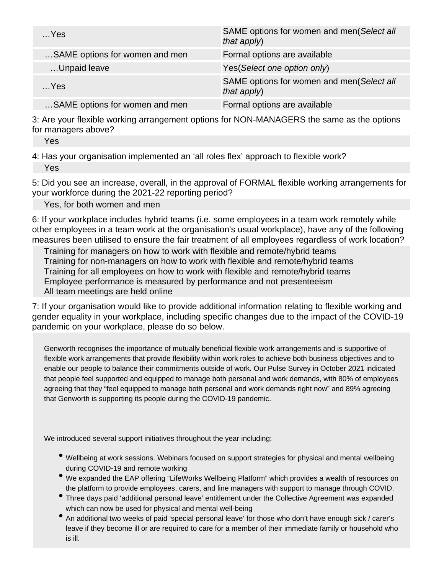| $$ Yes                         | SAME options for women and men(Select all<br>that $apply$ ) |
|--------------------------------|-------------------------------------------------------------|
| SAME options for women and men | Formal options are available                                |
| Unpaid leave                   | Yes (Select one option only)                                |
| Yes                            | SAME options for women and men(Select all<br>that apply)    |
| SAME options for women and men | Formal options are available                                |

3: Are your flexible working arrangement options for NON-MANAGERS the same as the options for managers above?

Yes

4: Has your organisation implemented an 'all roles flex' approach to flexible work? Yes

5: Did you see an increase, overall, in the approval of FORMAL flexible working arrangements for your workforce during the 2021-22 reporting period?

Yes, for both women and men

6: If your workplace includes hybrid teams (i.e. some employees in a team work remotely while other employees in a team work at the organisation's usual workplace), have any of the following measures been utilised to ensure the fair treatment of all employees regardless of work location?

Training for managers on how to work with flexible and remote/hybrid teams Training for non-managers on how to work with flexible and remote/hybrid teams Training for all employees on how to work with flexible and remote/hybrid teams Employee performance is measured by performance and not presenteeism All team meetings are held online

7: If your organisation would like to provide additional information relating to flexible working and gender equality in your workplace, including specific changes due to the impact of the COVID-19 pandemic on your workplace, please do so below.

Genworth recognises the importance of mutually beneficial flexible work arrangements and is supportive of flexible work arrangements that provide flexibility within work roles to achieve both business objectives and to enable our people to balance their commitments outside of work. Our Pulse Survey in October 2021 indicated that people feel supported and equipped to manage both personal and work demands, with 80% of employees agreeing that they "feel equipped to manage both personal and work demands right now" and 89% agreeing that Genworth is supporting its people during the COVID-19 pandemic.

We introduced several support initiatives throughout the year including:

- Wellbeing at work sessions. Webinars focused on support strategies for physical and mental wellbeing during COVID-19 and remote working
- We expanded the EAP offering "LifeWorks Wellbeing Platform" which provides a wealth of resources on the platform to provide employees, carers, and line managers with support to manage through COVID.
- Three days paid 'additional personal leave' entitlement under the Collective Agreement was expanded which can now be used for physical and mental well-being
- An additional two weeks of paid 'special personal leave' for those who don't have enough sick / carer's leave if they become ill or are required to care for a member of their immediate family or household who is ill.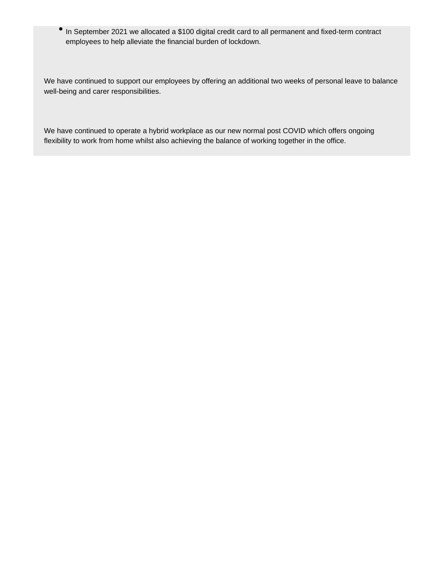In September 2021 we allocated a \$100 digital credit card to all permanent and fixed-term contract  $\bullet$ employees to help alleviate the financial burden of lockdown.

We have continued to support our employees by offering an additional two weeks of personal leave to balance well-being and carer responsibilities.

We have continued to operate a hybrid workplace as our new normal post COVID which offers ongoing flexibility to work from home whilst also achieving the balance of working together in the office.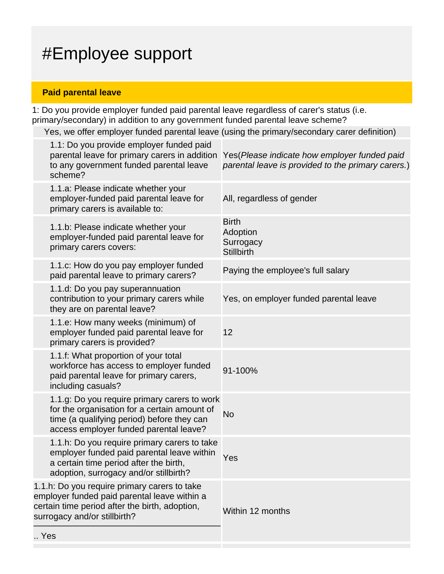# #Employee support

### **Paid parental leave**

1: Do you provide employer funded paid parental leave regardless of carer's status (i.e. primary/secondary) in addition to any government funded parental leave scheme?

Yes, we offer employer funded parental leave (using the primary/secondary carer definition)

| Yes                                                                                                                                                                            |                                                                                                                                                                                      |                                                                                                     |
|--------------------------------------------------------------------------------------------------------------------------------------------------------------------------------|--------------------------------------------------------------------------------------------------------------------------------------------------------------------------------------|-----------------------------------------------------------------------------------------------------|
| 1.1.h: Do you require primary carers to take<br>employer funded paid parental leave within a<br>certain time period after the birth, adoption,<br>surrogacy and/or stillbirth? |                                                                                                                                                                                      | Within 12 months                                                                                    |
|                                                                                                                                                                                | 1.1.h: Do you require primary carers to take<br>employer funded paid parental leave within<br>a certain time period after the birth,<br>adoption, surrogacy and/or stillbirth?       | Yes                                                                                                 |
|                                                                                                                                                                                | 1.1.g: Do you require primary carers to work<br>for the organisation for a certain amount of<br>time (a qualifying period) before they can<br>access employer funded parental leave? | <b>No</b>                                                                                           |
|                                                                                                                                                                                | 1.1.f: What proportion of your total<br>workforce has access to employer funded<br>paid parental leave for primary carers,<br>including casuals?                                     | 91-100%                                                                                             |
|                                                                                                                                                                                | 1.1.e: How many weeks (minimum) of<br>employer funded paid parental leave for<br>primary carers is provided?                                                                         | 12                                                                                                  |
|                                                                                                                                                                                | 1.1.d: Do you pay superannuation<br>contribution to your primary carers while<br>they are on parental leave?                                                                         | Yes, on employer funded parental leave                                                              |
|                                                                                                                                                                                | 1.1.c: How do you pay employer funded<br>paid parental leave to primary carers?                                                                                                      | Paying the employee's full salary                                                                   |
|                                                                                                                                                                                | 1.1.b: Please indicate whether your<br>employer-funded paid parental leave for<br>primary carers covers:                                                                             | <b>Birth</b><br>Adoption<br>Surrogacy<br><b>Stillbirth</b>                                          |
|                                                                                                                                                                                | 1.1.a: Please indicate whether your<br>employer-funded paid parental leave for<br>primary carers is available to:                                                                    | All, regardless of gender                                                                           |
|                                                                                                                                                                                | 1.1: Do you provide employer funded paid<br>parental leave for primary carers in addition<br>to any government funded parental leave<br>scheme?                                      | Yes (Please indicate how employer funded paid<br>parental leave is provided to the primary carers.) |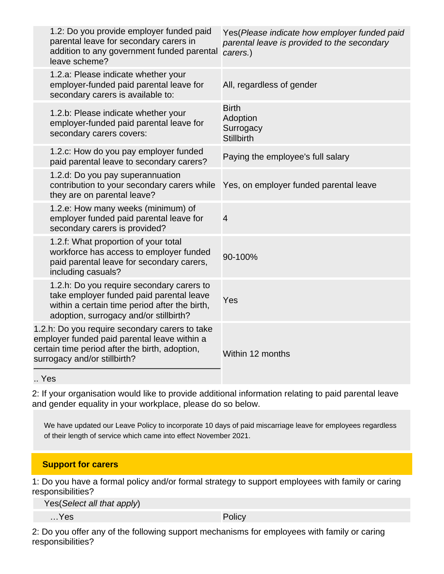| 1.2: Do you provide employer funded paid<br>parental leave for secondary carers in<br>addition to any government funded parental<br>leave scheme?                                | Yes(Please indicate how employer funded paid<br>parental leave is provided to the secondary<br>carers.) |
|----------------------------------------------------------------------------------------------------------------------------------------------------------------------------------|---------------------------------------------------------------------------------------------------------|
| 1.2.a: Please indicate whether your<br>employer-funded paid parental leave for<br>secondary carers is available to:                                                              | All, regardless of gender                                                                               |
| 1.2.b: Please indicate whether your<br>employer-funded paid parental leave for<br>secondary carers covers:                                                                       | <b>Birth</b><br>Adoption<br>Surrogacy<br><b>Stillbirth</b>                                              |
| 1.2.c: How do you pay employer funded<br>paid parental leave to secondary carers?                                                                                                | Paying the employee's full salary                                                                       |
| 1.2.d: Do you pay superannuation<br>contribution to your secondary carers while<br>they are on parental leave?                                                                   | Yes, on employer funded parental leave                                                                  |
| 1.2.e: How many weeks (minimum) of<br>employer funded paid parental leave for<br>secondary carers is provided?                                                                   | $\overline{4}$                                                                                          |
| 1.2.f: What proportion of your total<br>workforce has access to employer funded<br>paid parental leave for secondary carers,<br>including casuals?                               | 90-100%                                                                                                 |
| 1.2.h: Do you require secondary carers to<br>take employer funded paid parental leave<br>within a certain time period after the birth,<br>adoption, surrogacy and/or stillbirth? | Yes                                                                                                     |
| 1.2.h: Do you require secondary carers to take<br>employer funded paid parental leave within a<br>certain time period after the birth, adoption,<br>surrogacy and/or stillbirth? | Within 12 months                                                                                        |
| Yes                                                                                                                                                                              |                                                                                                         |

2: If your organisation would like to provide additional information relating to paid parental leave and gender equality in your workplace, please do so below.

We have updated our Leave Policy to incorporate 10 days of paid miscarriage leave for employees regardless of their length of service which came into effect November 2021.

### **Support for carers**

1: Do you have a formal policy and/or formal strategy to support employees with family or caring responsibilities?

Yes(Select all that apply)

…Yes Policy

2: Do you offer any of the following support mechanisms for employees with family or caring responsibilities?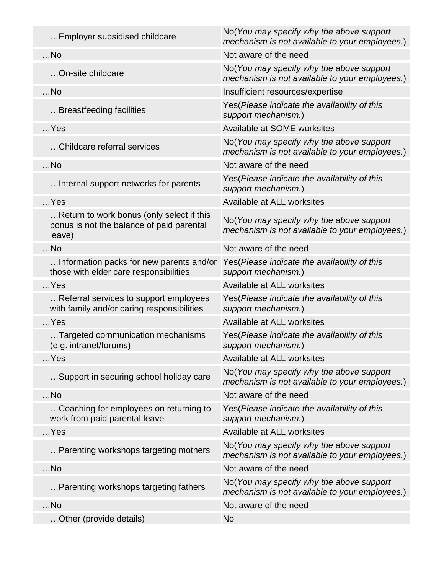| Employer subsidised childcare                                                                    | No(You may specify why the above support<br>mechanism is not available to your employees.) |
|--------------------------------------------------------------------------------------------------|--------------------------------------------------------------------------------------------|
| $$ No                                                                                            | Not aware of the need                                                                      |
| On-site childcare                                                                                | No(You may specify why the above support<br>mechanism is not available to your employees.) |
| $$ No                                                                                            | Insufficient resources/expertise                                                           |
| Breastfeeding facilities                                                                         | Yes (Please indicate the availability of this<br>support mechanism.)                       |
| $$ Yes                                                                                           | Available at SOME worksites                                                                |
| Childcare referral services                                                                      | No(You may specify why the above support<br>mechanism is not available to your employees.) |
| $$ No                                                                                            | Not aware of the need                                                                      |
| Internal support networks for parents                                                            | Yes(Please indicate the availability of this<br>support mechanism.)                        |
| $$ Yes                                                                                           | Available at ALL worksites                                                                 |
| Return to work bonus (only select if this<br>bonus is not the balance of paid parental<br>leave) | No(You may specify why the above support<br>mechanism is not available to your employees.) |
| $$ No                                                                                            | Not aware of the need                                                                      |
| Information packs for new parents and/or<br>those with elder care responsibilities               | Yes(Please indicate the availability of this<br>support mechanism.)                        |
| $$ Yes                                                                                           | Available at ALL worksites                                                                 |
| Referral services to support employees<br>with family and/or caring responsibilities             | Yes (Please indicate the availability of this<br>support mechanism.)                       |
| $$ Yes                                                                                           | Available at ALL worksites                                                                 |
| Targeted communication mechanisms<br>(e.g. intranet/forums)                                      | Yes(Please indicate the availability of this<br>support mechanism.)                        |
| $$ Yes                                                                                           | Available at ALL worksites                                                                 |
| Support in securing school holiday care                                                          | No(You may specify why the above support<br>mechanism is not available to your employees.) |
| $$ No                                                                                            | Not aware of the need                                                                      |
| Coaching for employees on returning to<br>work from paid parental leave                          | Yes (Please indicate the availability of this<br>support mechanism.)                       |
| $$ Yes                                                                                           | Available at ALL worksites                                                                 |
| Parenting workshops targeting mothers                                                            | No(You may specify why the above support<br>mechanism is not available to your employees.) |
| $$ No                                                                                            | Not aware of the need                                                                      |
| Parenting workshops targeting fathers                                                            | No(You may specify why the above support<br>mechanism is not available to your employees.) |
| $$ No                                                                                            | Not aware of the need                                                                      |
| Other (provide details)                                                                          | No                                                                                         |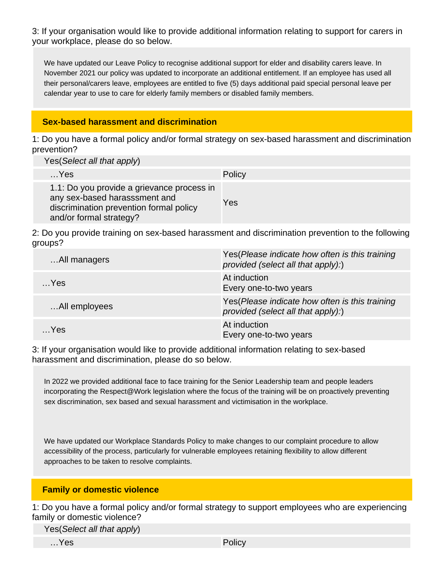3: If your organisation would like to provide additional information relating to support for carers in your workplace, please do so below.

We have updated our Leave Policy to recognise additional support for elder and disability carers leave. In November 2021 our policy was updated to incorporate an additional entitlement. If an employee has used all their personal/carers leave, employees are entitled to five (5) days additional paid special personal leave per calendar year to use to care for elderly family members or disabled family members.

### **Sex-based harassment and discrimination**

1: Do you have a formal policy and/or formal strategy on sex-based harassment and discrimination prevention?

Yes(Select all that apply)

| $$ Yes                                                                                                                                            | <b>Policy</b> |
|---------------------------------------------------------------------------------------------------------------------------------------------------|---------------|
| 1.1: Do you provide a grievance process in<br>any sex-based harasssment and<br>discrimination prevention formal policy<br>and/or formal strategy? | Yes           |

2: Do you provide training on sex-based harassment and discrimination prevention to the following groups?

| All managers  | Yes (Please indicate how often is this training<br>provided (select all that apply):) |
|---------------|---------------------------------------------------------------------------------------|
| $$ Yes        | At induction<br>Every one-to-two years                                                |
| All employees | Yes (Please indicate how often is this training<br>provided (select all that apply):) |
| …Yes          | At induction<br>Every one-to-two years                                                |

3: If your organisation would like to provide additional information relating to sex-based harassment and discrimination, please do so below.

In 2022 we provided additional face to face training for the Senior Leadership team and people leaders incorporating the Respect@Work legislation where the focus of the training will be on proactively preventing sex discrimination, sex based and sexual harassment and victimisation in the workplace.

We have updated our Workplace Standards Policy to make changes to our complaint procedure to allow accessibility of the process, particularly for vulnerable employees retaining flexibility to allow different approaches to be taken to resolve complaints.

### **Family or domestic violence**

1: Do you have a formal policy and/or formal strategy to support employees who are experiencing family or domestic violence?

Yes(Select all that apply)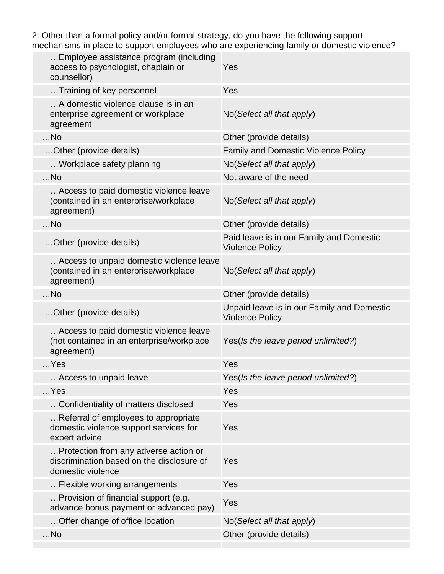2: Other than a formal policy and/or formal strategy, do you have the following support mechanisms in place to support employees who are experiencing family or domestic violence?

| Employee assistance program (including<br>access to psychologist, chaplain or<br>counsellor)            | Yes                                                                  |
|---------------------------------------------------------------------------------------------------------|----------------------------------------------------------------------|
| Training of key personnel                                                                               | Yes                                                                  |
| A domestic violence clause is in an<br>enterprise agreement or workplace<br>agreement                   | No(Select all that apply)                                            |
| $$ No                                                                                                   | Other (provide details)                                              |
| Other (provide details)                                                                                 | <b>Family and Domestic Violence Policy</b>                           |
| Workplace safety planning                                                                               | No(Select all that apply)                                            |
| $$ No                                                                                                   | Not aware of the need                                                |
| Access to paid domestic violence leave<br>(contained in an enterprise/workplace<br>agreement)           | No(Select all that apply)                                            |
| $$ No                                                                                                   | Other (provide details)                                              |
| Other (provide details)                                                                                 | Paid leave is in our Family and Domestic<br><b>Violence Policy</b>   |
| Access to unpaid domestic violence leave<br>(contained in an enterprise/workplace<br>agreement)         | No(Select all that apply)                                            |
| $$ No                                                                                                   | Other (provide details)                                              |
| Other (provide details)                                                                                 | Unpaid leave is in our Family and Domestic<br><b>Violence Policy</b> |
| Access to paid domestic violence leave<br>(not contained in an enterprise/workplace<br>agreement)       | Yes(Is the leave period unlimited?)                                  |
| $$ Yes                                                                                                  | Yes                                                                  |
| Access to unpaid leave                                                                                  | Yes(Is the leave period unlimited?)                                  |
| Yes                                                                                                     | Yes                                                                  |
| Confidentiality of matters disclosed                                                                    | Yes                                                                  |
| Referral of employees to appropriate<br>domestic violence support services for<br>expert advice         | Yes                                                                  |
| Protection from any adverse action or<br>discrimination based on the disclosure of<br>domestic violence | Yes                                                                  |
| Flexible working arrangements                                                                           | Yes                                                                  |
| Provision of financial support (e.g.<br>advance bonus payment or advanced pay)                          | Yes                                                                  |
| Offer change of office location                                                                         | No(Select all that apply)                                            |
| $$ No                                                                                                   | Other (provide details)                                              |